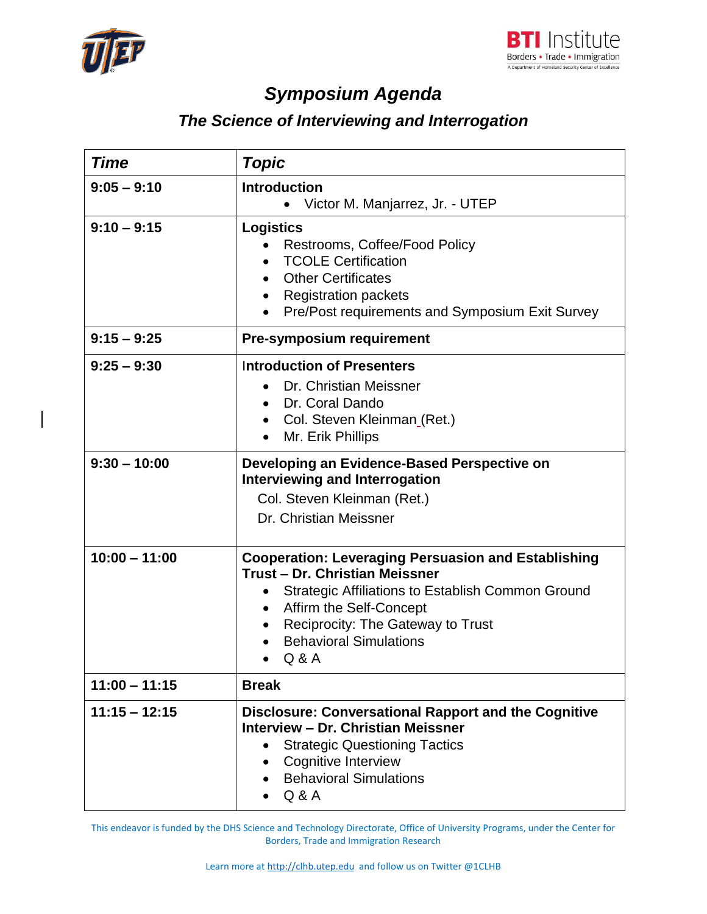



## *Symposium Agenda*

## *The Science of Interviewing and Interrogation*

| <b>Time</b>     | <b>Topic</b>                                                                                                                                                                                                                                                                                              |
|-----------------|-----------------------------------------------------------------------------------------------------------------------------------------------------------------------------------------------------------------------------------------------------------------------------------------------------------|
| $9:05 - 9:10$   | <b>Introduction</b><br>Victor M. Manjarrez, Jr. - UTEP                                                                                                                                                                                                                                                    |
| $9:10 - 9:15$   | <b>Logistics</b><br>Restrooms, Coffee/Food Policy<br><b>TCOLE Certification</b><br><b>Other Certificates</b><br>$\bullet$<br><b>Registration packets</b><br>Pre/Post requirements and Symposium Exit Survey                                                                                               |
| $9:15 - 9:25$   | Pre-symposium requirement                                                                                                                                                                                                                                                                                 |
| $9:25 - 9:30$   | <b>Introduction of Presenters</b><br>Dr. Christian Meissner<br>Dr. Coral Dando<br>$\bullet$<br>Col. Steven Kleinman (Ret.)<br>Mr. Erik Phillips<br>$\bullet$                                                                                                                                              |
| $9:30 - 10:00$  | Developing an Evidence-Based Perspective on<br><b>Interviewing and Interrogation</b><br>Col. Steven Kleinman (Ret.)<br>Dr. Christian Meissner                                                                                                                                                             |
| $10:00 - 11:00$ | <b>Cooperation: Leveraging Persuasion and Establishing</b><br>Trust - Dr. Christian Meissner<br>Strategic Affiliations to Establish Common Ground<br>$\bullet$<br>Affirm the Self-Concept<br>$\bullet$<br><b>Reciprocity: The Gateway to Trust</b><br>$\bullet$<br><b>Behavioral Simulations</b><br>Q & A |
| $11:00 - 11:15$ | <b>Break</b>                                                                                                                                                                                                                                                                                              |
| $11:15 - 12:15$ | <b>Disclosure: Conversational Rapport and the Cognitive</b><br>Interview - Dr. Christian Meissner<br><b>Strategic Questioning Tactics</b><br>Cognitive Interview<br><b>Behavioral Simulations</b><br>Q & A                                                                                                |

This endeavor is funded by the DHS Science and Technology Directorate, Office of University Programs, under the Center for Borders, Trade and Immigration Research